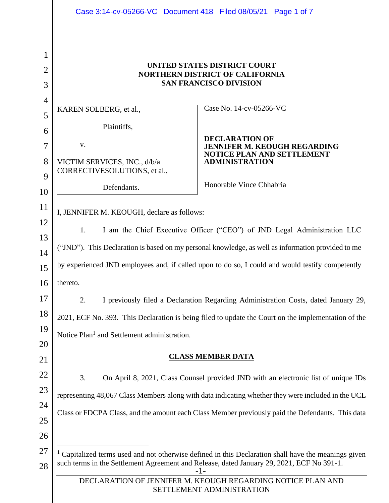|                          | Case 3:14-cv-05266-VC Document 418 Filed 08/05/21 Page 1 of 7                                                   |                                                                                                  |  |  |  |  |
|--------------------------|-----------------------------------------------------------------------------------------------------------------|--------------------------------------------------------------------------------------------------|--|--|--|--|
| 1<br>$\overline{2}$<br>3 | UNITED STATES DISTRICT COURT<br><b>NORTHERN DISTRICT OF CALIFORNIA</b><br><b>SAN FRANCISCO DIVISION</b>         |                                                                                                  |  |  |  |  |
| $\overline{4}$           |                                                                                                                 |                                                                                                  |  |  |  |  |
| 5                        | KAREN SOLBERG, et al.,                                                                                          | Case No. 14-cv-05266-VC                                                                          |  |  |  |  |
| 6                        | Plaintiffs,                                                                                                     |                                                                                                  |  |  |  |  |
| 7                        | V.                                                                                                              | <b>DECLARATION OF</b><br><b>JENNIFER M. KEOUGH REGARDING</b><br>NOTICE PLAN AND SETTLEMENT       |  |  |  |  |
| 8<br>9                   | VICTIM SERVICES, INC., d/b/a<br>CORRECTIVESOLUTIONS, et al.,                                                    | <b>ADMINISTRATION</b>                                                                            |  |  |  |  |
| 10                       | Defendants.                                                                                                     | Honorable Vince Chhabria                                                                         |  |  |  |  |
| 11                       |                                                                                                                 |                                                                                                  |  |  |  |  |
| 12                       | I, JENNIFER M. KEOUGH, declare as follows:                                                                      |                                                                                                  |  |  |  |  |
| 13                       | I am the Chief Executive Officer ("CEO") of JND Legal Administration LLC<br>1.                                  |                                                                                                  |  |  |  |  |
| 14                       | ("JND"). This Declaration is based on my personal knowledge, as well as information provided to me              |                                                                                                  |  |  |  |  |
| 15                       | by experienced JND employees and, if called upon to do so, I could and would testify competently                |                                                                                                  |  |  |  |  |
| 16                       | thereto.                                                                                                        |                                                                                                  |  |  |  |  |
| 17                       | I previously filed a Declaration Regarding Administration Costs, dated January 29,<br>2.                        |                                                                                                  |  |  |  |  |
| 18                       | 2021, ECF No. 393. This Declaration is being filed to update the Court on the implementation of the             |                                                                                                  |  |  |  |  |
| 19                       | Notice Plan <sup>1</sup> and Settlement administration.                                                         |                                                                                                  |  |  |  |  |
| 20<br>21                 | <b>CLASS MEMBER DATA</b>                                                                                        |                                                                                                  |  |  |  |  |
| 22                       | 3.                                                                                                              | On April 8, 2021, Class Counsel provided JND with an electronic list of unique IDs               |  |  |  |  |
| 23                       |                                                                                                                 |                                                                                                  |  |  |  |  |
| 24                       | representing 48,067 Class Members along with data indicating whether they were included in the UCL              |                                                                                                  |  |  |  |  |
| 25                       |                                                                                                                 | Class or FDCPA Class, and the amount each Class Member previously paid the Defendants. This data |  |  |  |  |
| 26                       |                                                                                                                 |                                                                                                  |  |  |  |  |
| 27                       | <sup>1</sup> Capitalized terms used and not otherwise defined in this Declaration shall have the meanings given |                                                                                                  |  |  |  |  |
| 28                       | such terms in the Settlement Agreement and Release, dated January 29, 2021, ECF No 391-1.<br>-1-                |                                                                                                  |  |  |  |  |
|                          | DECLARATION OF JENNIFER M. KEOUGH REGARDING NOTICE PLAN AND<br>SETTLEMENT ADMINISTRATION                        |                                                                                                  |  |  |  |  |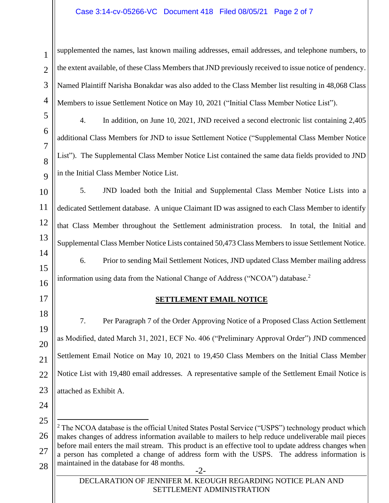### Case 3:14-cv-05266-VC Document 418 Filed 08/05/21 Page 2 of 7

4 supplemented the names, last known mailing addresses, email addresses, and telephone numbers, to the extent available, of these Class Members that JND previously received to issue notice of pendency. Named Plaintiff Narisha Bonakdar was also added to the Class Member list resulting in 48,068 Class Members to issue Settlement Notice on May 10, 2021 ("Initial Class Member Notice List").

4. In addition, on June 10, 2021, JND received a second electronic list containing 2,405 additional Class Members for JND to issue Settlement Notice ("Supplemental Class Member Notice List"). The Supplemental Class Member Notice List contained the same data fields provided to JND in the Initial Class Member Notice List.

5. JND loaded both the Initial and Supplemental Class Member Notice Lists into a dedicated Settlement database. A unique Claimant ID was assigned to each Class Member to identify that Class Member throughout the Settlement administration process. In total, the Initial and Supplemental Class Member Notice Lists contained 50,473 Class Members to issue Settlement Notice. 6. Prior to sending Mail Settlement Notices, JND updated Class Member mailing address

information using data from the National Change of Address ("NCOA") database.<sup>2</sup>

17

18

19

20

21

22

23

1

2

3

5

6

7

8

 $\overline{Q}$ 

10

11

12

13

14

15

16

# **SETTLEMENT EMAIL NOTICE**

7. Per Paragraph 7 of the Order Approving Notice of a Proposed Class Action Settlement as Modified, dated March 31, 2021, ECF No. 406 ("Preliminary Approval Order") JND commenced Settlement Email Notice on May 10, 2021 to 19,450 Class Members on the Initial Class Member Notice List with 19,480 email addresses. A representative sample of the Settlement Email Notice is attached as Exhibit A.

- 24
- 25

<sup>-2-</sup> 26 27 28  $2$  The NCOA database is the official United States Postal Service ("USPS") technology product which makes changes of address information available to mailers to help reduce undeliverable mail pieces before mail enters the mail stream. This product is an effective tool to update address changes when a person has completed a change of address form with the USPS. The address information is maintained in the database for 48 months.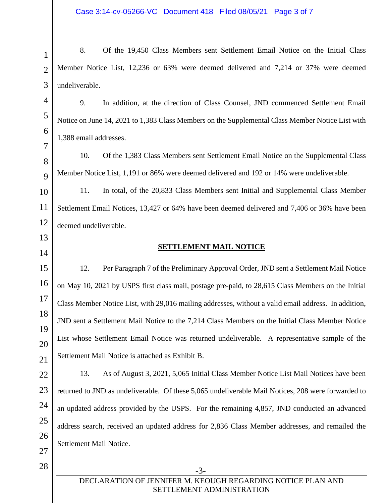1 2 3 8. Of the 19,450 Class Members sent Settlement Email Notice on the Initial Class Member Notice List, 12,236 or 63% were deemed delivered and 7,214 or 37% were deemed undeliverable.

9. In addition, at the direction of Class Counsel, JND commenced Settlement Email Notice on June 14, 2021 to 1,383 Class Members on the Supplemental Class Member Notice List with 1,388 email addresses.

10. Of the 1,383 Class Members sent Settlement Email Notice on the Supplemental Class Member Notice List, 1,191 or 86% were deemed delivered and 192 or 14% were undeliverable.

10 11 12 11. In total, of the 20,833 Class Members sent Initial and Supplemental Class Member Settlement Email Notices, 13,427 or 64% have been deemed delivered and 7,406 or 36% have been deemed undeliverable.

**SETTLEMENT MAIL NOTICE**

12. Per Paragraph 7 of the Preliminary Approval Order, JND sent a Settlement Mail Notice on May 10, 2021 by USPS first class mail, postage pre-paid, to 28,615 Class Members on the Initial Class Member Notice List, with 29,016 mailing addresses, without a valid email address. In addition, JND sent a Settlement Mail Notice to the 7,214 Class Members on the Initial Class Member Notice List whose Settlement Email Notice was returned undeliverable. A representative sample of the Settlement Mail Notice is attached as Exhibit B.

13. As of August 3, 2021, 5,065 Initial Class Member Notice List Mail Notices have been returned to JND as undeliverable. Of these 5,065 undeliverable Mail Notices, 208 were forwarded to an updated address provided by the USPS. For the remaining 4,857, JND conducted an advanced address search, received an updated address for 2,836 Class Member addresses, and remailed the Settlement Mail Notice.

-3-

4

5

6

7

8

 $\overline{Q}$ 

13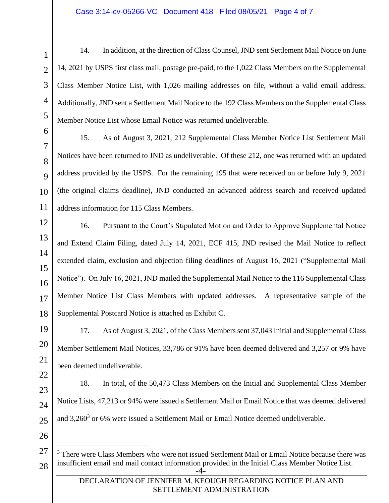14. In addition, at the direction of Class Counsel, JND sent Settlement Mail Notice on June 14, 2021 by USPS first class mail, postage pre-paid, to the 1,022 Class Members on the Supplemental Class Member Notice List, with 1,026 mailing addresses on file, without a valid email address. Additionally, JND sent a Settlement Mail Notice to the 192 Class Members on the Supplemental Class Member Notice List whose Email Notice was returned undeliverable.

15. As of August 3, 2021, 212 Supplemental Class Member Notice List Settlement Mail Notices have been returned to JND as undeliverable. Of these 212, one was returned with an updated address provided by the USPS. For the remaining 195 that were received on or before July 9, 2021 (the original claims deadline), JND conducted an advanced address search and received updated address information for 115 Class Members.

16. Pursuant to the Court's Stipulated Motion and Order to Approve Supplemental Notice and Extend Claim Filing, dated July 14, 2021, ECF 415, JND revised the Mail Notice to reflect extended claim, exclusion and objection filing deadlines of August 16, 2021 ("Supplemental Mail Notice"). On July 16, 2021, JND mailed the Supplemental Mail Notice to the 116 Supplemental Class Member Notice List Class Members with updated addresses. A representative sample of the Supplemental Postcard Notice is attached as Exhibit C.

17. As of August 3, 2021, of the Class Members sent 37,043 Initial and Supplemental Class Member Settlement Mail Notices, 33,786 or 91% have been deemed delivered and 3,257 or 9% have been deemed undeliverable.

18. In total, of the 50,473 Class Members on the Initial and Supplemental Class Member Notice Lists, 47,213 or 94% were issued a Settlement Mail or Email Notice that was deemed delivered and 3,260<sup>3</sup> or 6% were issued a Settlement Mail or Email Notice deemed undeliverable.

-4- <sup>3</sup> There were Class Members who were not issued Settlement Mail or Email Notice because there was insufficient email and mail contact information provided in the Initial Class Member Notice List.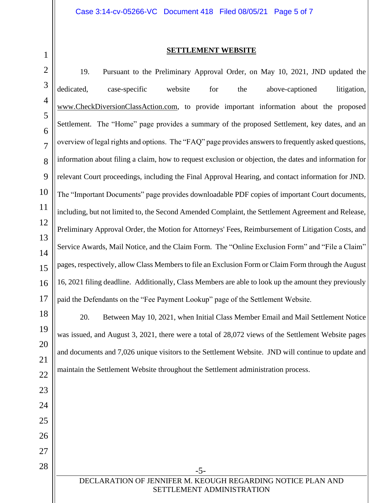11

12

13

14

15

17

23

24

25

26

27

28

### **SETTLEMENT WEBSITE**

16 19. Pursuant to the Preliminary Approval Order, on May 10, 2021, JND updated the dedicated, case-specific website for the above-captioned litigation, www.CheckDiversionClassAction.com, to provide important information about the proposed Settlement. The "Home" page provides a summary of the proposed Settlement, key dates, and an overview of legal rights and options. The "FAQ" page provides answers to frequently asked questions, information about filing a claim, how to request exclusion or objection, the dates and information for relevant Court proceedings, including the Final Approval Hearing, and contact information for JND. The "Important Documents" page provides downloadable PDF copies of important Court documents, including, but not limited to, the Second Amended Complaint, the Settlement Agreement and Release, Preliminary Approval Order, the Motion for Attorneys' Fees, Reimbursement of Litigation Costs, and Service Awards, Mail Notice, and the Claim Form. The "Online Exclusion Form" and "File a Claim" pages, respectively, allow Class Members to file an Exclusion Form or Claim Form through the August 16, 2021 filing deadline. Additionally, Class Members are able to look up the amount they previously paid the Defendants on the "Fee Payment Lookup" page of the Settlement Website.

18 19 20 21 22 20. Between May 10, 2021, when Initial Class Member Email and Mail Settlement Notice was issued, and August 3, 2021, there were a total of 28,072 views of the Settlement Website pages and documents and 7,026 unique visitors to the Settlement Website. JND will continue to update and maintain the Settlement Website throughout the Settlement administration process.

> DECLARATION OF JENNIFER M. KEOUGH REGARDING NOTICE PLAN AND SETTLEMENT ADMINISTRATION

-5-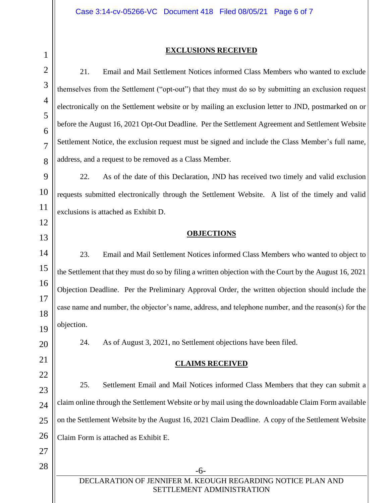1

### **EXCLUSIONS RECEIVED**

-6- DECLARATION OF JENNIFER M. KEOUGH REGARDING NOTICE PLAN AND SETTLEMENT ADMINISTRATION 2 3 4 5 6 7 8 9 10 11 12 13 14 15 16 17 18 19 20 21 22 23 24 25 26 27 28 21. Email and Mail Settlement Notices informed Class Members who wanted to exclude themselves from the Settlement ("opt-out") that they must do so by submitting an exclusion request electronically on the Settlement website or by mailing an exclusion letter to JND, postmarked on or before the August 16, 2021 Opt-Out Deadline. Per the Settlement Agreement and Settlement Website Settlement Notice, the exclusion request must be signed and include the Class Member's full name, address, and a request to be removed as a Class Member. 22. As of the date of this Declaration, JND has received two timely and valid exclusion requests submitted electronically through the Settlement Website. A list of the timely and valid exclusions is attached as Exhibit D. **OBJECTIONS** 23. Email and Mail Settlement Notices informed Class Members who wanted to object to the Settlement that they must do so by filing a written objection with the Court by the August 16, 2021 Objection Deadline. Per the Preliminary Approval Order, the written objection should include the case name and number, the objector's name, address, and telephone number, and the reason(s) for the objection. 24. As of August 3, 2021, no Settlement objections have been filed. **CLAIMS RECEIVED** 25. Settlement Email and Mail Notices informed Class Members that they can submit a claim online through the Settlement Website or by mail using the downloadable Claim Form available on the Settlement Website by the August 16, 2021 Claim Deadline. A copy of the Settlement Website Claim Form is attached as Exhibit E.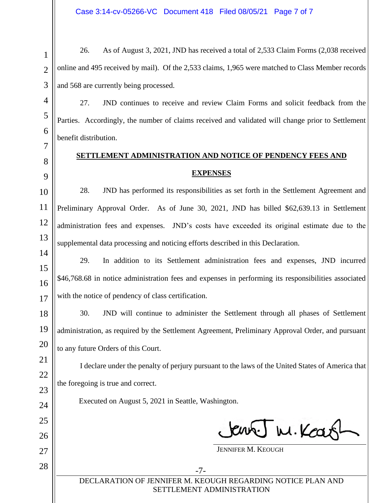1 2 3 26. As of August 3, 2021, JND has received a total of 2,533 Claim Forms (2,038 received online and 495 received by mail). Of the 2,533 claims, 1,965 were matched to Class Member records and 568 are currently being processed.

27. JND continues to receive and review Claim Forms and solicit feedback from the Parties. Accordingly, the number of claims received and validated will change prior to Settlement benefit distribution.

# **SETTLEMENT ADMINISTRATION AND NOTICE OF PENDENCY FEES AND EXPENSES**

28. JND has performed its responsibilities as set forth in the Settlement Agreement and Preliminary Approval Order. As of June 30, 2021, JND has billed \$62,639.13 in Settlement administration fees and expenses. JND's costs have exceeded its original estimate due to the supplemental data processing and noticing efforts described in this Declaration.

29. In addition to its Settlement administration fees and expenses, JND incurred \$46,768.68 in notice administration fees and expenses in performing its responsibilities associated with the notice of pendency of class certification.

30. JND will continue to administer the Settlement through all phases of Settlement administration, as required by the Settlement Agreement, Preliminary Approval Order, and pursuant to any future Orders of this Court.

I declare under the penalty of perjury pursuant to the laws of the United States of America that the foregoing is true and correct.

Executed on August 5, 2021 in Seattle, Washington.

4

5

6

7

8

9

10

11

12

13

14

15

16

17

18

19

20

21

22

23

24

25

26

27

28

Jens Tw. Keas

JENNIFER M. KEOUGH

-7- DECLARATION OF JENNIFER M. KEOUGH REGARDING NOTICE PLAN AND SETTLEMENT ADMINISTRATION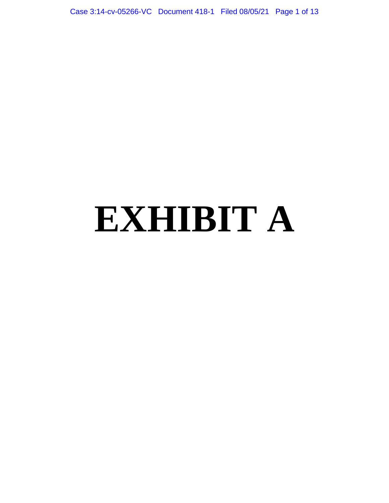Case 3:14-cv-05266-VC Document 418-1 Filed 08/05/21 Page 1 of 13

# **EXHIBIT A**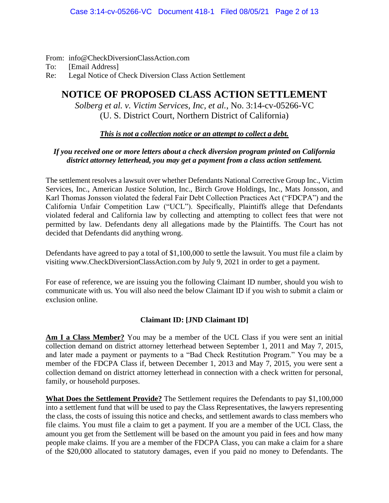From: info@CheckDiversionClassAction.com

To: [Email Address]

Re: Legal Notice of Check Diversion Class Action Settlement

# **NOTICE OF PROPOSED CLASS ACTION SETTLEMENT**

*Solberg et al. v. Victim Services, Inc, et al.*, No. 3:14-cv-05266-VC (U. S. District Court, Northern District of California)

## *This is not a collection notice or an attempt to collect a debt.*

# *If you received one or more letters about a check diversion program printed on California district attorney letterhead, you may get a payment from a class action settlement.*

The settlement resolves a lawsuit over whether Defendants National Corrective Group Inc., Victim Services, Inc., American Justice Solution, Inc., Birch Grove Holdings, Inc., Mats Jonsson, and Karl Thomas Jonsson violated the federal Fair Debt Collection Practices Act ("FDCPA") and the California Unfair Competition Law ("UCL"). Specifically, Plaintiffs allege that Defendants violated federal and California law by collecting and attempting to collect fees that were not permitted by law. Defendants deny all allegations made by the Plaintiffs. The Court has not decided that Defendants did anything wrong.

Defendants have agreed to pay a total of \$1,100,000 to settle the lawsuit. You must file a claim by visiting www.CheckDiversionClassAction.com by July 9, 2021 in order to get a payment.

For ease of reference, we are issuing you the following Claimant ID number, should you wish to communicate with us. You will also need the below Claimant ID if you wish to submit a claim or exclusion online.

## **Claimant ID: [JND Claimant ID]**

Am I a Class Member? You may be a member of the UCL Class if you were sent an initial collection demand on district attorney letterhead between September 1, 2011 and May 7, 2015, and later made a payment or payments to a "Bad Check Restitution Program." You may be a member of the FDCPA Class if, between December 1, 2013 and May 7, 2015, you were sent a collection demand on district attorney letterhead in connection with a check written for personal, family, or household purposes.

**What Does the Settlement Provide?** The Settlement requires the Defendants to pay \$1,100,000 into a settlement fund that will be used to pay the Class Representatives, the lawyers representing the class, the costs of issuing this notice and checks, and settlement awards to class members who file claims. You must file a claim to get a payment. If you are a member of the UCL Class, the amount you get from the Settlement will be based on the amount you paid in fees and how many people make claims. If you are a member of the FDCPA Class, you can make a claim for a share of the \$20,000 allocated to statutory damages, even if you paid no money to Defendants. The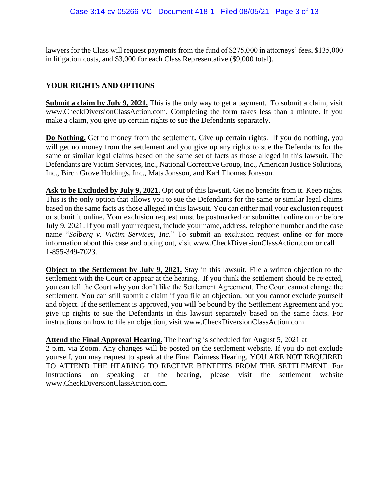lawyers for the Class will request payments from the fund of \$275,000 in attorneys' fees, \$135,000 in litigation costs, and \$3,000 for each Class Representative (\$9,000 total).

# **YOUR RIGHTS AND OPTIONS**

**Submit a claim by July 9, 2021.** This is the only way to get a payment. To submit a claim, visit www.CheckDiversionClassAction.com. Completing the form takes less than a minute. If you make a claim, you give up certain rights to sue the Defendants separately.

**Do Nothing.** Get no money from the settlement. Give up certain rights. If you do nothing, you will get no money from the settlement and you give up any rights to sue the Defendants for the same or similar legal claims based on the same set of facts as those alleged in this lawsuit. The Defendants are Victim Services, Inc., National Corrective Group, Inc., American Justice Solutions, Inc., Birch Grove Holdings, Inc., Mats Jonsson, and Karl Thomas Jonsson.

Ask to be Excluded by July 9, 2021. Opt out of this lawsuit. Get no benefits from it. Keep rights. This is the only option that allows you to sue the Defendants for the same or similar legal claims based on the same facts as those alleged in this lawsuit. You can either mail your exclusion request or submit it online. Your exclusion request must be postmarked or submitted online on or before July 9, 2021. If you mail your request, include your name, address, telephone number and the case name "*Solberg v. Victim Services, Inc*." To submit an exclusion request online or for more information about this case and opting out, visit www.CheckDiversionClassAction.com or call 1-855-349-7023.

**Object to the Settlement by July 9, 2021.** Stay in this lawsuit. File a written objection to the settlement with the Court or appear at the hearing. If you think the settlement should be rejected, you can tell the Court why you don't like the Settlement Agreement. The Court cannot change the settlement. You can still submit a claim if you file an objection, but you cannot exclude yourself and object. If the settlement is approved, you will be bound by the Settlement Agreement and you give up rights to sue the Defendants in this lawsuit separately based on the same facts. For instructions on how to file an objection, visit www.CheckDiversionClassAction.com.

### **Attend the Final Approval Hearing.** The hearing is scheduled for August 5, 2021 at

2 p.m. via Zoom. Any changes will be posted on the settlement website. If you do not exclude yourself, you may request to speak at the Final Fairness Hearing. YOU ARE NOT REQUIRED TO ATTEND THE HEARING TO RECEIVE BENEFITS FROM THE SETTLEMENT. For instructions on speaking at the hearing, please visit the settlement website www.CheckDiversionClassAction.com.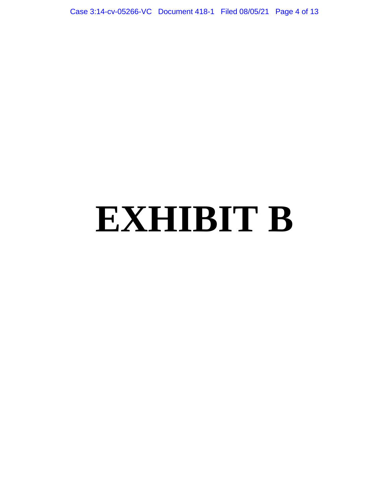Case 3:14-cv-05266-VC Document 418-1 Filed 08/05/21 Page 4 of 13

# **EXHIBIT B**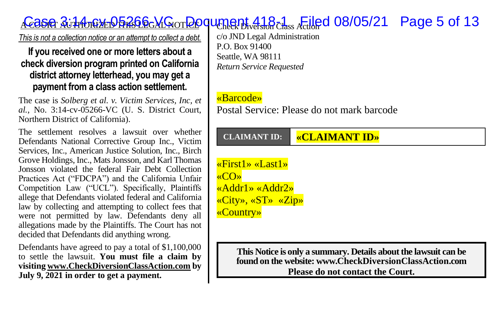# <u>A COSA AuthoReDh Shorloon Do</u>quence 118-1 Filed 08/05/21 Page 5 of 13

*This is not a collection notice or an attempt to collect a debt.*

#### **If you received one or more letters about a check diversion program printed on California district attorney letterhead, you may get a payment from a class action settlement.**

The case is *Solberg et al. v. Victim Services, Inc, et al.*, No. 3:14-cv-05266-VC (U. S. District Court, Northern District of California).

The settlement resolves a lawsuit over whether Defendants National Corrective Group Inc., Victim Services, Inc., American Justice Solution, Inc., Birch Grove Holdings, Inc., Mats Jonsson, and Karl Thomas Jonsson violated the federal Fair Debt Collection Practices Act ("FDCPA") and the California Unfair Competition Law ("UCL"). Specifically, Plaintiffs allege that Defendants violated federal and California law by collecting and attempting to collect fees that were not permitted by law. Defendants deny all allegations made by the Plaintiffs. The Court has not decided that Defendants did anything wrong.

Defendants have agreed to pay a total of \$1,100,000 to settle the lawsuit. **You must file a claim by visitin[g www.CheckDiversionClassAction.com](http://www.checkdiversionclassaction.com/) by July 9, 2021 in order to get a payment.**

c/o JND Legal Administration P.O. Box 91400 Seattle, WA 98111 *Return Service Requested*

#### «Barcode»

Postal Service: Please do not mark barcode

#### **CLAIMANT ID: «CLAIMANT ID»**

«First1» «Last1» «CO» «Addr1» «Addr2» «City», «ST» «Zip» «Country»

> **This Notice is only a summary. Details about the lawsuit can be found on the website: www.CheckDiversionClassAction.com Please do not contact the Court.**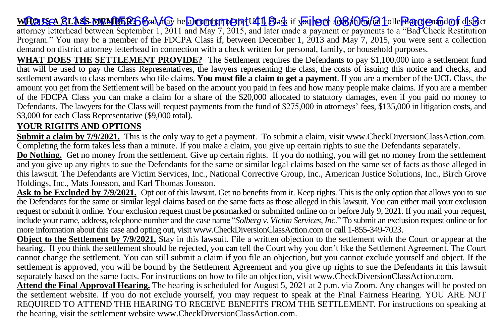### **WHO ISA CLASS MEMBER:**6 Gou/dox be <mark>Docoum ent UCL</mark> Bask if y<mark>ou were to B/O5/21</mark> coller @gg@nfodorf district

attorney letterhead between September 1, 2011 and May 7, 2015, and later made a payment or payments to a "Bad Check Restitution Program." You may be a member of the FDCPA Class if, between December 1, 2013 and May 7, 2015, you were sent a collection demand on district attorney letterhead in connection with a check written for personal, family, or household purposes.

**WHAT DOES THE SETTLEMENT PROVIDE?** The Settlement requires the Defendants to pay \$1,100,000 into a settlement fund that will be used to pay the Class Representatives, the lawyers representing the class, the costs of issuing this notice and checks, and settlement awards to class members who file claims. **You must file a claim to get a payment**. If you are a member of the UCL Class, the amount you get from the Settlement will be based on the amount you paid in fees and how many people make claims. If you are a member of the FDCPA Class you can make a claim for a share of the \$20,000 allocated to statutory damages, even if you paid no money to Defendants. The lawyers for the Class will request payments from the fund of \$275,000 in attorneys' fees, \$135,000 in litigation costs, and \$3,000 for each Class Representative (\$9,000 total).

#### **YOUR RIGHTS AND OPTIONS**

**Submit a claim by 7/9/2021.** This is the only way to get a payment. To submit a claim, visit www.CheckDiversionClassAction.com. Completing the form takes less than a minute. If you make a claim, you give up certain rights to sue the Defendants separately.

**Do Nothing.** Get no money from the settlement. Give up certain rights. If you do nothing, you will get no money from the settlement and you give up any rights to sue the Defendants for the same or similar legal claims based on the same set of facts as those alleged in this lawsuit. The Defendants are Victim Services, Inc., National Corrective Group, Inc., American Justice Solutions, Inc., Birch Grove Holdings, Inc., Mats Jonsson, and Karl Thomas Jonsson.

Ask to be Excluded by 7/9/2021. Opt out of this lawsuit. Get no benefits from it. Keep rights. This is the only option that allows you to sue the Defendants for the same or similar legal claims based on the same facts as those alleged in this lawsuit. You can either mail your exclusion request or submit it online. Your exclusion request must be postmarked or submitted online on or before July 9, 2021. If you mail your request, include your name, address, telephone number and the case name "*Solberg v. Victim Services, Inc*." To submit an exclusion request online or for more information about this case and opting out, visit www.CheckDiversionClassAction.com or call 1-855-349-7023.

**Object to the Settlement by 7/9/2021.** Stay in this lawsuit. File a written objection to the settlement with the Court or appear at the hearing. If you think the settlement should be rejected, you can tell the Court why you don't like the Settlement Agreement. The Court cannot change the settlement. You can still submit a claim if you file an objection, but you cannot exclude yourself and object. If the settlement is approved, you will be bound by the Settlement Agreement and you give up rights to sue the Defendants in this lawsuit separately based on the same facts. For instructions on how to file an objection, visit www.CheckDiversionClassAction.com.

**Attend the Final Approval Hearing.** The hearing is scheduled for August 5, 2021 at 2 p.m. via Zoom. Any changes will be posted on the settlement website. If you do not exclude yourself, you may request to speak at the Final Fairness Hearing. YOU ARE NOT REQUIRED TO ATTEND THE HEARING TO RECEIVE BENEFITS FROM THE SETTLEMENT. For instructions on speaking at the hearing, visit the settlement website www.CheckDiversionClassAction.com.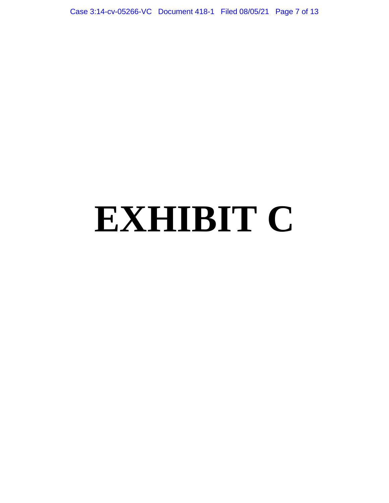Case 3:14-cv-05266-VC Document 418-1 Filed 08/05/21 Page 7 of 13

# **EXHIBIT C**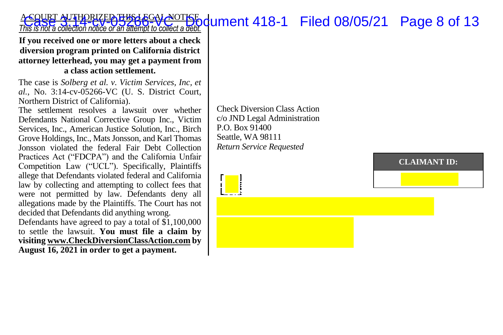#### A COURT AUTHORIZED THIS LEGAL NOTICE *A* Cacus Av The Rice of the **Accord Case of Accord State** 1 collect a debt.<br>This is not a collection notice or an attempt to collect a debt.

**If you received one or more letters about a check diversion program printed on California district attorney letterhead, you may get a payment from a class action settlement.**

The case is *Solberg et al. v. Victim Services, Inc, et al.*, No. 3:14-cv-05266-VC (U. S. District Court, Northern District of California).

The settlement resolves a lawsuit over whether Defendants National Corrective Group Inc., Victim Services, Inc., American Justice Solution, Inc., Birch Grove Holdings, Inc., Mats Jonsson, and Karl Thomas Jonsson violated the federal Fair Debt Collection Practices Act ("FDCPA") and the California Unfair Competition Law ("UCL"). Specifically, Plaintiffs allege that Defendants violated federal and California law by collecting and attempting to collect fees that were not permitted by law. Defendants deny all allegations made by the Plaintiffs. The Court has not decided that Defendants did anything wrong.

Defendants have agreed to pay a total of \$1,100,000 to settle the lawsuit. **You must file a claim by visitin[g www.CheckDiversionClassAction.com](http://www.checkdiversionclassaction.com/) by August 16, 2021 in order to get a payment.**

Check Diversion Class Action c/o JND Legal Administration P.O. Box 91400 Seattle, WA 98111 *Return Service Requested*

**CLAIMANT ID:**

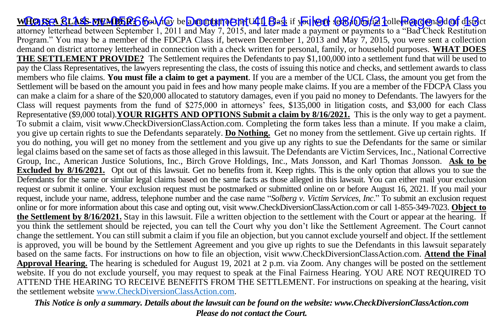WHO ISA GLASS MEMBERG God how be <mark>Docoument 41 Bask if you leed OB/O5/21</mark> colle <mark>Rogge</mark>n God of district attorney letterhead between September 1, 2011 and May 7, 2015, and later made a payment or payments to a "Bad Check Restitution Program." You may be a member of the FDCPA Class if, between December 1, 2013 and May 7, 2015, you were sent a collection demand on district attorney letterhead in connection with a check written for personal, family, or household purposes. **WHAT DOES THE SETTLEMENT PROVIDE?** The Settlement requires the Defendants to pay \$1,100,000 into a settlement fund that will be used to pay the Class Representatives, the lawyers representing the class, the costs of issuing this notice and checks, and settlement awards to class members who file claims. **You must file a claim to get a payment**. If you are a member of the UCL Class, the amount you get from the Settlement will be based on the amount you paid in fees and how many people make claims. If you are a member of the FDCPA Class you can make a claim for a share of the \$20,000 allocated to statutory damages, even if you paid no money to Defendants. The lawyers for the Class will request payments from the fund of \$275,000 in attorneys' fees, \$135,000 in litigation costs, and \$3,000 for each Class Representative (\$9,000 total).**YOUR RIGHTS AND OPTIONS Submit a claim by 8/16/2021.** This is the only way to get a payment. To submit a claim, visit www.CheckDiversionClassAction.com. Completing the form takes less than a minute. If you make a claim, you give up certain rights to sue the Defendants separately. **Do Nothing.** Get no money from the settlement. Give up certain rights. If you do nothing, you will get no money from the settlement and you give up any rights to sue the Defendants for the same or similar legal claims based on the same set of facts as those alleged in this lawsuit. The Defendants are Victim Services, Inc., National Corrective Group, Inc., American Justice Solutions, Inc., Birch Grove Holdings, Inc., Mats Jonsson, and Karl Thomas Jonsson. **Ask to be Excluded by 8/16/2021.** Opt out of this lawsuit. Get no benefits from it. Keep rights. This is the only option that allows you to sue the Defendants for the same or similar legal claims based on the same facts as those alleged in this lawsuit. You can either mail your exclusion request or submit it online. Your exclusion request must be postmarked or submitted online on or before August 16, 2021. If you mail your request, include your name, address, telephone number and the case name "*Solberg v. Victim Services, Inc*." To submit an exclusion request online or for more information about this case and opting out, visit www.CheckDiversionClassAction.com or call 1-855-349-7023. **Object to the Settlement by 8/16/2021.** Stay in this lawsuit. File a written objection to the settlement with the Court or appear at the hearing. If you think the settlement should be rejected, you can tell the Court why you don't like the Settlement Agreement. The Court cannot change the settlement. You can still submit a claim if you file an objection, but you cannot exclude yourself and object. If the settlement is approved, you will be bound by the Settlement Agreement and you give up rights to sue the Defendants in this lawsuit separately based on the same facts. For instructions on how to file an objection, visit www.CheckDiversionClassAction.com. **Attend the Final Approval Hearing.** The hearing is scheduled for August 19, 2021 at 2 p.m. via Zoom. Any changes will be posted on the settlement website. If you do not exclude yourself, you may request to speak at the Final Fairness Hearing. YOU ARE NOT REQUIRED TO ATTEND THE HEARING TO RECEIVE BENEFITS FROM THE SETTLEMENT. For instructions on speaking at the hearing, visit the settlement website [www.CheckDiversionClassAction.com.](http://www.checkdiversionclassaction.com/)

*This Notice is only a summary. Details about the lawsuit can be found on the website: www.CheckDiversionClassAction.com Please do not contact the Court.*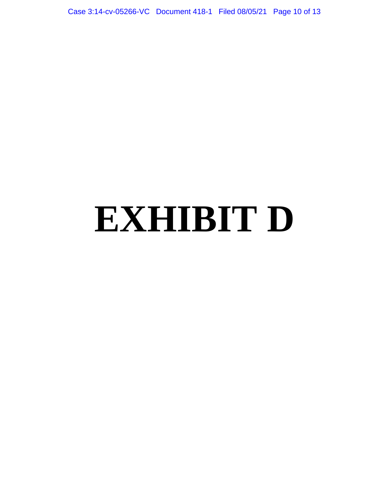Case 3:14-cv-05266-VC Document 418-1 Filed 08/05/21 Page 10 of 13

# **EXHIBIT D**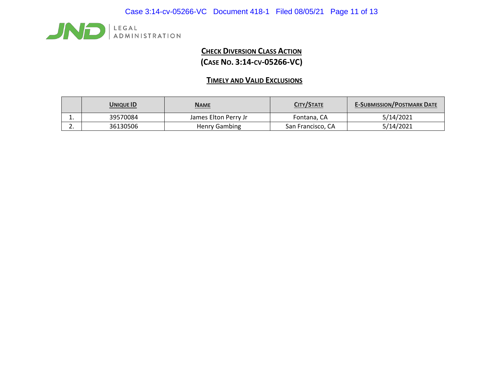

# **CHECK DIVERSION CLASS ACTION (CASE NO. 3:14-CV-05266-VC)**

# **TIMELY AND VALID EXCLUSIONS**

|    | <b>UNIQUE ID</b> | <b>NAME</b>          | CITY/STATE        | <b>E-SUBMISSION/POSTMARK DATE</b> |
|----|------------------|----------------------|-------------------|-----------------------------------|
| ∸. | 39570084         | James Elton Perry Jr | Fontana, CA       | 5/14/2021                         |
| ـ. | 36130506         | Henry Gambing        | San Francisco, CA | 5/14/2021                         |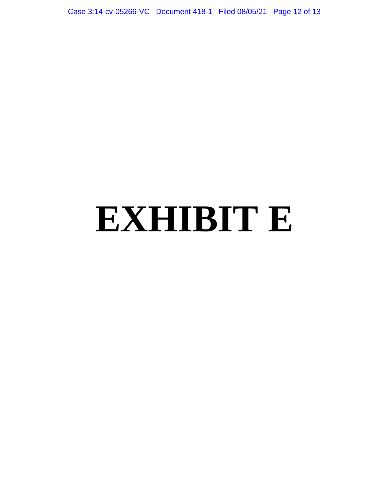Case 3:14-cv-05266-VC Document 418-1 Filed 08/05/21 Page 12 of 13

# **EXHIBIT E**